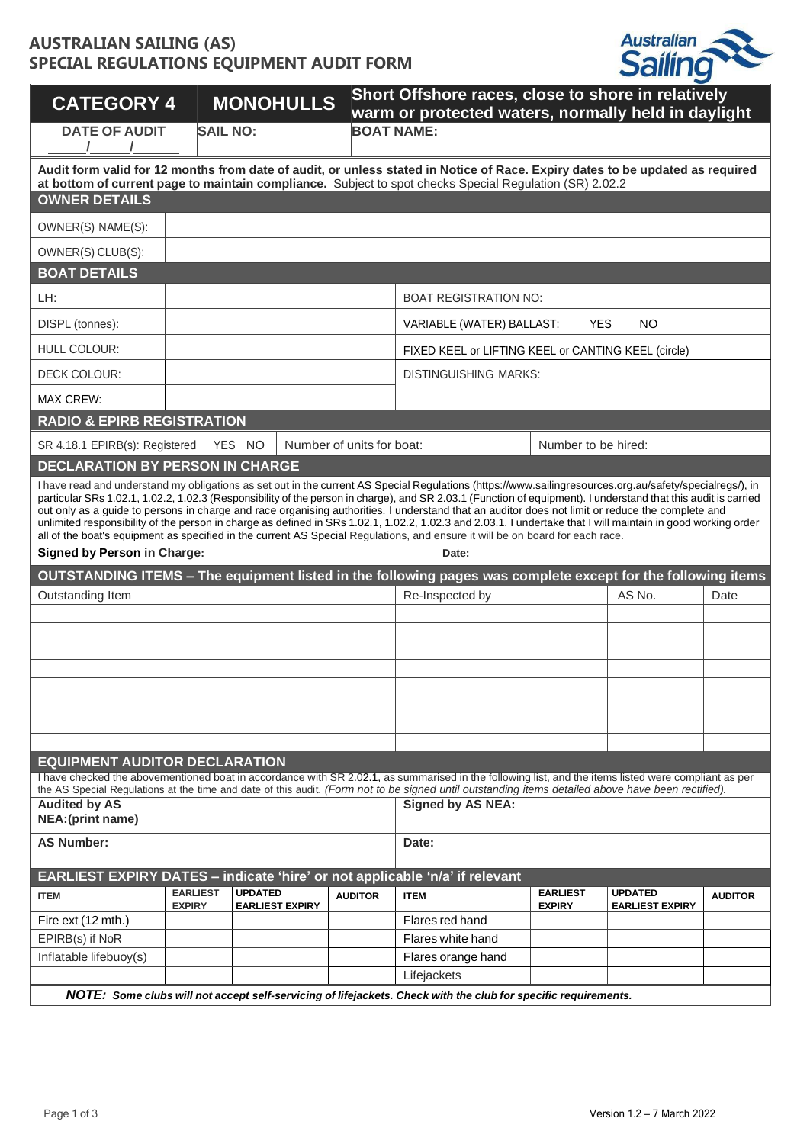## **AUSTRALIAN SAILING (AS) SPECIAL REGULATIONS EQUIPMENT AUDIT FORM**



| <b>BOAT NAME:</b><br><b>SAIL NO:</b><br><b>DATE OF AUDIT</b><br>Audit form valid for 12 months from date of audit, or unless stated in Notice of Race. Expiry dates to be updated as required<br>at bottom of current page to maintain compliance. Subject to spot checks Special Regulation (SR) 2.02.2<br><b>OWNER DETAILS</b><br>OWNER(S) NAME(S):<br>OWNER(S) CLUB(S):<br><b>BOAT DETAILS</b><br>LH:<br><b>BOAT REGISTRATION NO:</b><br><b>YES</b><br><b>NO</b><br>DISPL (tonnes):<br>VARIABLE (WATER) BALLAST:<br>HULL COLOUR:<br>FIXED KEEL or LIFTING KEEL or CANTING KEEL (circle)<br>DECK COLOUR:<br><b>DISTINGUISHING MARKS:</b><br><b>MAX CREW:</b><br><b>RADIO &amp; EPIRB REGISTRATION</b><br>SR 4.18.1 EPIRB(s): Registered<br>YES NO<br>Number of units for boat:<br>Number to be hired:<br><b>DECLARATION BY PERSON IN CHARGE</b><br>I have read and understand my obligations as set out in the current AS Special Regulations (https://www.sailingresources.org.au/safety/specialregs/), in<br>particular SRs 1.02.1, 1.02.2, 1.02.3 (Responsibility of the person in charge), and SR 2.03.1 (Function of equipment). I understand that this audit is carried<br>out only as a guide to persons in charge and race organising authorities. I understand that an auditor does not limit or reduce the complete and<br>unlimited responsibility of the person in charge as defined in SRs 1.02.1, 1.02.2, 1.02.3 and 2.03.1. I undertake that I will maintain in good working order<br>all of the boat's equipment as specified in the current AS Special Regulations, and ensure it will be on board for each race.<br><b>Signed by Person in Charge:</b><br>Date:<br>OUTSTANDING ITEMS - The equipment listed in the following pages was complete except for the following items<br>AS No.<br>Outstanding Item<br>Re-Inspected by<br>Date<br><b>EQUIPMENT AUDITOR DECLARATION</b><br>I have checked the abovementioned boat in accordance with SR 2.02.1, as summarised in the following list, and the items listed were compliant as per<br>the AS Special Regulations at the time and date of this audit. (Form not to be signed until outstanding items detailed above have been rectified).<br><b>Signed by AS NEA:</b><br><b>Audited by AS</b><br>NEA: (print name)<br><b>AS Number:</b><br>Date:<br>EARLIEST EXPIRY DATES - indicate 'hire' or not applicable 'n/a' if relevant<br><b>EARLIEST</b><br><b>UPDATED</b><br><b>EARLIEST</b><br><b>UPDATED</b><br><b>ITEM</b><br><b>AUDITOR</b><br><b>ITEM</b><br><b>AUDITOR</b><br><b>EXPIRY</b><br><b>EARLIEST EXPIRY</b><br><b>EXPIRY</b><br><b>EARLIEST EXPIRY</b><br>Fire ext (12 mth.)<br>Flares red hand<br>EPIRB(s) if NoR<br>Flares white hand<br>Inflatable lifebuoy(s)<br>Flares orange hand<br>Lifejackets<br>NOTE: Some clubs will not accept self-servicing of lifejackets. Check with the club for specific requirements. | <b>CATEGORY 4</b> |  | <b>MONOHULLS</b> |  | Short Offshore races, close to shore in relatively<br>warm or protected waters, normally held in daylight |  |  |  |
|-------------------------------------------------------------------------------------------------------------------------------------------------------------------------------------------------------------------------------------------------------------------------------------------------------------------------------------------------------------------------------------------------------------------------------------------------------------------------------------------------------------------------------------------------------------------------------------------------------------------------------------------------------------------------------------------------------------------------------------------------------------------------------------------------------------------------------------------------------------------------------------------------------------------------------------------------------------------------------------------------------------------------------------------------------------------------------------------------------------------------------------------------------------------------------------------------------------------------------------------------------------------------------------------------------------------------------------------------------------------------------------------------------------------------------------------------------------------------------------------------------------------------------------------------------------------------------------------------------------------------------------------------------------------------------------------------------------------------------------------------------------------------------------------------------------------------------------------------------------------------------------------------------------------------------------------------------------------------------------------------------------------------------------------------------------------------------------------------------------------------------------------------------------------------------------------------------------------------------------------------------------------------------------------------------------------------------------------------------------------------------------------------------------------------------------------------------------------------------------------------------------------------------------------------------------------------------------------------------------------------------------------------------------------------------------------------------------------------------------------------------------------------------------------------------------------------------------------------------------------------------------------------------------|-------------------|--|------------------|--|-----------------------------------------------------------------------------------------------------------|--|--|--|
|                                                                                                                                                                                                                                                                                                                                                                                                                                                                                                                                                                                                                                                                                                                                                                                                                                                                                                                                                                                                                                                                                                                                                                                                                                                                                                                                                                                                                                                                                                                                                                                                                                                                                                                                                                                                                                                                                                                                                                                                                                                                                                                                                                                                                                                                                                                                                                                                                                                                                                                                                                                                                                                                                                                                                                                                                                                                                                             |                   |  |                  |  |                                                                                                           |  |  |  |
|                                                                                                                                                                                                                                                                                                                                                                                                                                                                                                                                                                                                                                                                                                                                                                                                                                                                                                                                                                                                                                                                                                                                                                                                                                                                                                                                                                                                                                                                                                                                                                                                                                                                                                                                                                                                                                                                                                                                                                                                                                                                                                                                                                                                                                                                                                                                                                                                                                                                                                                                                                                                                                                                                                                                                                                                                                                                                                             |                   |  |                  |  |                                                                                                           |  |  |  |
|                                                                                                                                                                                                                                                                                                                                                                                                                                                                                                                                                                                                                                                                                                                                                                                                                                                                                                                                                                                                                                                                                                                                                                                                                                                                                                                                                                                                                                                                                                                                                                                                                                                                                                                                                                                                                                                                                                                                                                                                                                                                                                                                                                                                                                                                                                                                                                                                                                                                                                                                                                                                                                                                                                                                                                                                                                                                                                             |                   |  |                  |  |                                                                                                           |  |  |  |
|                                                                                                                                                                                                                                                                                                                                                                                                                                                                                                                                                                                                                                                                                                                                                                                                                                                                                                                                                                                                                                                                                                                                                                                                                                                                                                                                                                                                                                                                                                                                                                                                                                                                                                                                                                                                                                                                                                                                                                                                                                                                                                                                                                                                                                                                                                                                                                                                                                                                                                                                                                                                                                                                                                                                                                                                                                                                                                             |                   |  |                  |  |                                                                                                           |  |  |  |
|                                                                                                                                                                                                                                                                                                                                                                                                                                                                                                                                                                                                                                                                                                                                                                                                                                                                                                                                                                                                                                                                                                                                                                                                                                                                                                                                                                                                                                                                                                                                                                                                                                                                                                                                                                                                                                                                                                                                                                                                                                                                                                                                                                                                                                                                                                                                                                                                                                                                                                                                                                                                                                                                                                                                                                                                                                                                                                             |                   |  |                  |  |                                                                                                           |  |  |  |
|                                                                                                                                                                                                                                                                                                                                                                                                                                                                                                                                                                                                                                                                                                                                                                                                                                                                                                                                                                                                                                                                                                                                                                                                                                                                                                                                                                                                                                                                                                                                                                                                                                                                                                                                                                                                                                                                                                                                                                                                                                                                                                                                                                                                                                                                                                                                                                                                                                                                                                                                                                                                                                                                                                                                                                                                                                                                                                             |                   |  |                  |  |                                                                                                           |  |  |  |
|                                                                                                                                                                                                                                                                                                                                                                                                                                                                                                                                                                                                                                                                                                                                                                                                                                                                                                                                                                                                                                                                                                                                                                                                                                                                                                                                                                                                                                                                                                                                                                                                                                                                                                                                                                                                                                                                                                                                                                                                                                                                                                                                                                                                                                                                                                                                                                                                                                                                                                                                                                                                                                                                                                                                                                                                                                                                                                             |                   |  |                  |  |                                                                                                           |  |  |  |
|                                                                                                                                                                                                                                                                                                                                                                                                                                                                                                                                                                                                                                                                                                                                                                                                                                                                                                                                                                                                                                                                                                                                                                                                                                                                                                                                                                                                                                                                                                                                                                                                                                                                                                                                                                                                                                                                                                                                                                                                                                                                                                                                                                                                                                                                                                                                                                                                                                                                                                                                                                                                                                                                                                                                                                                                                                                                                                             |                   |  |                  |  |                                                                                                           |  |  |  |
|                                                                                                                                                                                                                                                                                                                                                                                                                                                                                                                                                                                                                                                                                                                                                                                                                                                                                                                                                                                                                                                                                                                                                                                                                                                                                                                                                                                                                                                                                                                                                                                                                                                                                                                                                                                                                                                                                                                                                                                                                                                                                                                                                                                                                                                                                                                                                                                                                                                                                                                                                                                                                                                                                                                                                                                                                                                                                                             |                   |  |                  |  |                                                                                                           |  |  |  |
|                                                                                                                                                                                                                                                                                                                                                                                                                                                                                                                                                                                                                                                                                                                                                                                                                                                                                                                                                                                                                                                                                                                                                                                                                                                                                                                                                                                                                                                                                                                                                                                                                                                                                                                                                                                                                                                                                                                                                                                                                                                                                                                                                                                                                                                                                                                                                                                                                                                                                                                                                                                                                                                                                                                                                                                                                                                                                                             |                   |  |                  |  |                                                                                                           |  |  |  |
|                                                                                                                                                                                                                                                                                                                                                                                                                                                                                                                                                                                                                                                                                                                                                                                                                                                                                                                                                                                                                                                                                                                                                                                                                                                                                                                                                                                                                                                                                                                                                                                                                                                                                                                                                                                                                                                                                                                                                                                                                                                                                                                                                                                                                                                                                                                                                                                                                                                                                                                                                                                                                                                                                                                                                                                                                                                                                                             |                   |  |                  |  |                                                                                                           |  |  |  |
|                                                                                                                                                                                                                                                                                                                                                                                                                                                                                                                                                                                                                                                                                                                                                                                                                                                                                                                                                                                                                                                                                                                                                                                                                                                                                                                                                                                                                                                                                                                                                                                                                                                                                                                                                                                                                                                                                                                                                                                                                                                                                                                                                                                                                                                                                                                                                                                                                                                                                                                                                                                                                                                                                                                                                                                                                                                                                                             |                   |  |                  |  |                                                                                                           |  |  |  |
|                                                                                                                                                                                                                                                                                                                                                                                                                                                                                                                                                                                                                                                                                                                                                                                                                                                                                                                                                                                                                                                                                                                                                                                                                                                                                                                                                                                                                                                                                                                                                                                                                                                                                                                                                                                                                                                                                                                                                                                                                                                                                                                                                                                                                                                                                                                                                                                                                                                                                                                                                                                                                                                                                                                                                                                                                                                                                                             |                   |  |                  |  |                                                                                                           |  |  |  |
|                                                                                                                                                                                                                                                                                                                                                                                                                                                                                                                                                                                                                                                                                                                                                                                                                                                                                                                                                                                                                                                                                                                                                                                                                                                                                                                                                                                                                                                                                                                                                                                                                                                                                                                                                                                                                                                                                                                                                                                                                                                                                                                                                                                                                                                                                                                                                                                                                                                                                                                                                                                                                                                                                                                                                                                                                                                                                                             |                   |  |                  |  |                                                                                                           |  |  |  |
|                                                                                                                                                                                                                                                                                                                                                                                                                                                                                                                                                                                                                                                                                                                                                                                                                                                                                                                                                                                                                                                                                                                                                                                                                                                                                                                                                                                                                                                                                                                                                                                                                                                                                                                                                                                                                                                                                                                                                                                                                                                                                                                                                                                                                                                                                                                                                                                                                                                                                                                                                                                                                                                                                                                                                                                                                                                                                                             |                   |  |                  |  |                                                                                                           |  |  |  |
|                                                                                                                                                                                                                                                                                                                                                                                                                                                                                                                                                                                                                                                                                                                                                                                                                                                                                                                                                                                                                                                                                                                                                                                                                                                                                                                                                                                                                                                                                                                                                                                                                                                                                                                                                                                                                                                                                                                                                                                                                                                                                                                                                                                                                                                                                                                                                                                                                                                                                                                                                                                                                                                                                                                                                                                                                                                                                                             |                   |  |                  |  |                                                                                                           |  |  |  |
|                                                                                                                                                                                                                                                                                                                                                                                                                                                                                                                                                                                                                                                                                                                                                                                                                                                                                                                                                                                                                                                                                                                                                                                                                                                                                                                                                                                                                                                                                                                                                                                                                                                                                                                                                                                                                                                                                                                                                                                                                                                                                                                                                                                                                                                                                                                                                                                                                                                                                                                                                                                                                                                                                                                                                                                                                                                                                                             |                   |  |                  |  |                                                                                                           |  |  |  |
|                                                                                                                                                                                                                                                                                                                                                                                                                                                                                                                                                                                                                                                                                                                                                                                                                                                                                                                                                                                                                                                                                                                                                                                                                                                                                                                                                                                                                                                                                                                                                                                                                                                                                                                                                                                                                                                                                                                                                                                                                                                                                                                                                                                                                                                                                                                                                                                                                                                                                                                                                                                                                                                                                                                                                                                                                                                                                                             |                   |  |                  |  |                                                                                                           |  |  |  |
|                                                                                                                                                                                                                                                                                                                                                                                                                                                                                                                                                                                                                                                                                                                                                                                                                                                                                                                                                                                                                                                                                                                                                                                                                                                                                                                                                                                                                                                                                                                                                                                                                                                                                                                                                                                                                                                                                                                                                                                                                                                                                                                                                                                                                                                                                                                                                                                                                                                                                                                                                                                                                                                                                                                                                                                                                                                                                                             |                   |  |                  |  |                                                                                                           |  |  |  |
|                                                                                                                                                                                                                                                                                                                                                                                                                                                                                                                                                                                                                                                                                                                                                                                                                                                                                                                                                                                                                                                                                                                                                                                                                                                                                                                                                                                                                                                                                                                                                                                                                                                                                                                                                                                                                                                                                                                                                                                                                                                                                                                                                                                                                                                                                                                                                                                                                                                                                                                                                                                                                                                                                                                                                                                                                                                                                                             |                   |  |                  |  |                                                                                                           |  |  |  |
|                                                                                                                                                                                                                                                                                                                                                                                                                                                                                                                                                                                                                                                                                                                                                                                                                                                                                                                                                                                                                                                                                                                                                                                                                                                                                                                                                                                                                                                                                                                                                                                                                                                                                                                                                                                                                                                                                                                                                                                                                                                                                                                                                                                                                                                                                                                                                                                                                                                                                                                                                                                                                                                                                                                                                                                                                                                                                                             |                   |  |                  |  |                                                                                                           |  |  |  |
|                                                                                                                                                                                                                                                                                                                                                                                                                                                                                                                                                                                                                                                                                                                                                                                                                                                                                                                                                                                                                                                                                                                                                                                                                                                                                                                                                                                                                                                                                                                                                                                                                                                                                                                                                                                                                                                                                                                                                                                                                                                                                                                                                                                                                                                                                                                                                                                                                                                                                                                                                                                                                                                                                                                                                                                                                                                                                                             |                   |  |                  |  |                                                                                                           |  |  |  |
|                                                                                                                                                                                                                                                                                                                                                                                                                                                                                                                                                                                                                                                                                                                                                                                                                                                                                                                                                                                                                                                                                                                                                                                                                                                                                                                                                                                                                                                                                                                                                                                                                                                                                                                                                                                                                                                                                                                                                                                                                                                                                                                                                                                                                                                                                                                                                                                                                                                                                                                                                                                                                                                                                                                                                                                                                                                                                                             |                   |  |                  |  |                                                                                                           |  |  |  |
|                                                                                                                                                                                                                                                                                                                                                                                                                                                                                                                                                                                                                                                                                                                                                                                                                                                                                                                                                                                                                                                                                                                                                                                                                                                                                                                                                                                                                                                                                                                                                                                                                                                                                                                                                                                                                                                                                                                                                                                                                                                                                                                                                                                                                                                                                                                                                                                                                                                                                                                                                                                                                                                                                                                                                                                                                                                                                                             |                   |  |                  |  |                                                                                                           |  |  |  |
|                                                                                                                                                                                                                                                                                                                                                                                                                                                                                                                                                                                                                                                                                                                                                                                                                                                                                                                                                                                                                                                                                                                                                                                                                                                                                                                                                                                                                                                                                                                                                                                                                                                                                                                                                                                                                                                                                                                                                                                                                                                                                                                                                                                                                                                                                                                                                                                                                                                                                                                                                                                                                                                                                                                                                                                                                                                                                                             |                   |  |                  |  |                                                                                                           |  |  |  |
|                                                                                                                                                                                                                                                                                                                                                                                                                                                                                                                                                                                                                                                                                                                                                                                                                                                                                                                                                                                                                                                                                                                                                                                                                                                                                                                                                                                                                                                                                                                                                                                                                                                                                                                                                                                                                                                                                                                                                                                                                                                                                                                                                                                                                                                                                                                                                                                                                                                                                                                                                                                                                                                                                                                                                                                                                                                                                                             |                   |  |                  |  |                                                                                                           |  |  |  |
|                                                                                                                                                                                                                                                                                                                                                                                                                                                                                                                                                                                                                                                                                                                                                                                                                                                                                                                                                                                                                                                                                                                                                                                                                                                                                                                                                                                                                                                                                                                                                                                                                                                                                                                                                                                                                                                                                                                                                                                                                                                                                                                                                                                                                                                                                                                                                                                                                                                                                                                                                                                                                                                                                                                                                                                                                                                                                                             |                   |  |                  |  |                                                                                                           |  |  |  |
|                                                                                                                                                                                                                                                                                                                                                                                                                                                                                                                                                                                                                                                                                                                                                                                                                                                                                                                                                                                                                                                                                                                                                                                                                                                                                                                                                                                                                                                                                                                                                                                                                                                                                                                                                                                                                                                                                                                                                                                                                                                                                                                                                                                                                                                                                                                                                                                                                                                                                                                                                                                                                                                                                                                                                                                                                                                                                                             |                   |  |                  |  |                                                                                                           |  |  |  |
|                                                                                                                                                                                                                                                                                                                                                                                                                                                                                                                                                                                                                                                                                                                                                                                                                                                                                                                                                                                                                                                                                                                                                                                                                                                                                                                                                                                                                                                                                                                                                                                                                                                                                                                                                                                                                                                                                                                                                                                                                                                                                                                                                                                                                                                                                                                                                                                                                                                                                                                                                                                                                                                                                                                                                                                                                                                                                                             |                   |  |                  |  |                                                                                                           |  |  |  |
|                                                                                                                                                                                                                                                                                                                                                                                                                                                                                                                                                                                                                                                                                                                                                                                                                                                                                                                                                                                                                                                                                                                                                                                                                                                                                                                                                                                                                                                                                                                                                                                                                                                                                                                                                                                                                                                                                                                                                                                                                                                                                                                                                                                                                                                                                                                                                                                                                                                                                                                                                                                                                                                                                                                                                                                                                                                                                                             |                   |  |                  |  |                                                                                                           |  |  |  |
|                                                                                                                                                                                                                                                                                                                                                                                                                                                                                                                                                                                                                                                                                                                                                                                                                                                                                                                                                                                                                                                                                                                                                                                                                                                                                                                                                                                                                                                                                                                                                                                                                                                                                                                                                                                                                                                                                                                                                                                                                                                                                                                                                                                                                                                                                                                                                                                                                                                                                                                                                                                                                                                                                                                                                                                                                                                                                                             |                   |  |                  |  |                                                                                                           |  |  |  |
|                                                                                                                                                                                                                                                                                                                                                                                                                                                                                                                                                                                                                                                                                                                                                                                                                                                                                                                                                                                                                                                                                                                                                                                                                                                                                                                                                                                                                                                                                                                                                                                                                                                                                                                                                                                                                                                                                                                                                                                                                                                                                                                                                                                                                                                                                                                                                                                                                                                                                                                                                                                                                                                                                                                                                                                                                                                                                                             |                   |  |                  |  |                                                                                                           |  |  |  |
|                                                                                                                                                                                                                                                                                                                                                                                                                                                                                                                                                                                                                                                                                                                                                                                                                                                                                                                                                                                                                                                                                                                                                                                                                                                                                                                                                                                                                                                                                                                                                                                                                                                                                                                                                                                                                                                                                                                                                                                                                                                                                                                                                                                                                                                                                                                                                                                                                                                                                                                                                                                                                                                                                                                                                                                                                                                                                                             |                   |  |                  |  |                                                                                                           |  |  |  |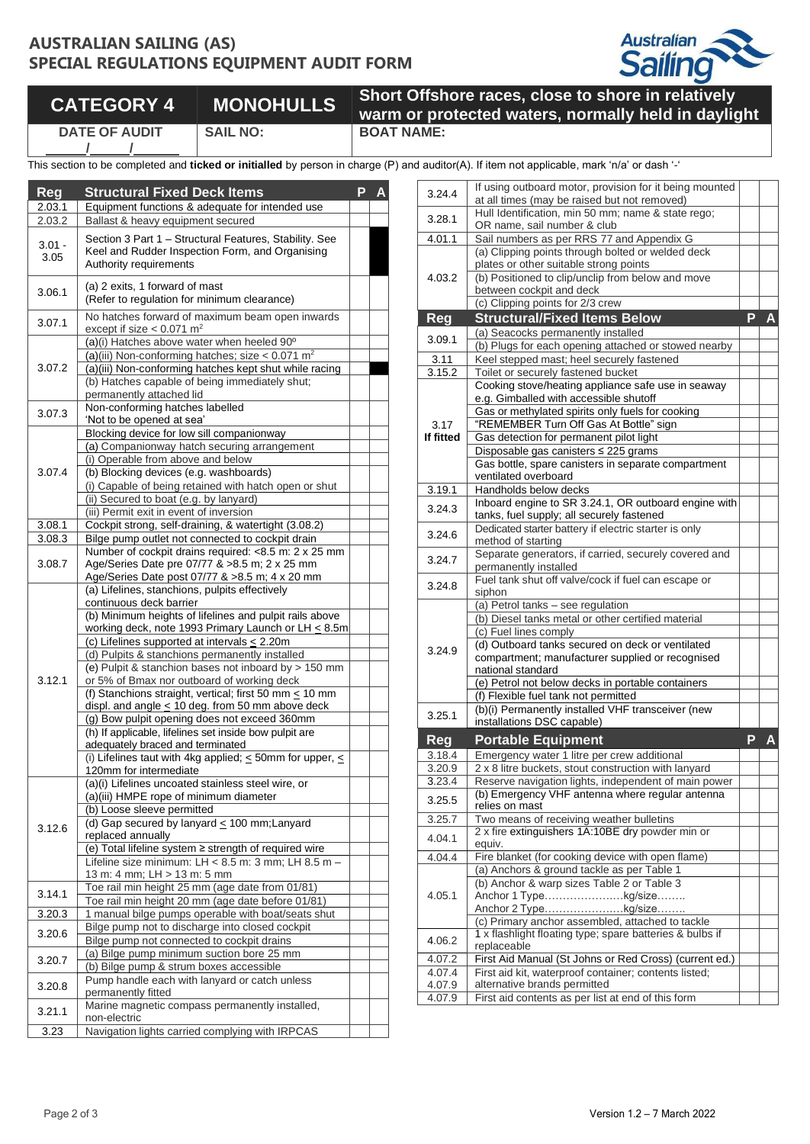## **AUSTRALIAN SAILING (AS) SPECIAL REGULATIONS EQUIPMENT AUDIT FORM**



## **CATEGORY 4 MONOHULLS Short Offshore races, close to shore in relatively**

**/ /**

**DATE OF AUDIT**

**warm or protected waters, normally held in daylight SAIL NO: BOAT NAME:**

This section to be completed and *ticked or initialled* by person in charge (P) and

| Reg              | <b>Structural Fixed Deck Items</b>                                                                                                   | P |  |
|------------------|--------------------------------------------------------------------------------------------------------------------------------------|---|--|
| 2.03.1           | Equipment functions & adequate for intended use                                                                                      |   |  |
| 2.03.2           | Ballast & heavy equipment secured                                                                                                    |   |  |
| $3.01 -$<br>3.05 | Section 3 Part 1 - Structural Features, Stability. See<br>Keel and Rudder Inspection Form, and Organising<br>Authority requirements  |   |  |
| 3.06.1           | (a) 2 exits, 1 forward of mast<br>(Refer to regulation for minimum clearance)                                                        |   |  |
| 3.07.1           | No hatches forward of maximum beam open inwards<br>except if size $< 0.071$ m <sup>2</sup>                                           |   |  |
|                  | (a)(i) Hatches above water when heeled 90°                                                                                           |   |  |
|                  | (a)(iii) Non-conforming hatches; size < $0.071$ m <sup>2</sup>                                                                       |   |  |
| 3.07.2           | (a)(iii) Non-conforming hatches kept shut while racing<br>(b) Hatches capable of being immediately shut;<br>permanently attached lid |   |  |
|                  | Non-conforming hatches labelled                                                                                                      |   |  |
| 3.07.3           | 'Not to be opened at sea'                                                                                                            |   |  |
|                  | Blocking device for low sill companionway                                                                                            |   |  |
|                  | (a) Companionway hatch securing arrangement                                                                                          |   |  |
|                  | (i) Operable from above and below                                                                                                    |   |  |
| 3.07.4           | (b) Blocking devices (e.g. washboards)                                                                                               |   |  |
|                  | (i) Capable of being retained with hatch open or shut                                                                                |   |  |
|                  | (ii) Secured to boat (e.g. by lanyard)                                                                                               |   |  |
| 3.08.1           | (iii) Permit exit in event of inversion<br>Cockpit strong, self-draining, & watertight (3.08.2)                                      |   |  |
| 3.08.3           | Bilge pump outlet not connected to cockpit drain                                                                                     |   |  |
|                  | Number of cockpit drains required: <8.5 m: 2 x 25 mm                                                                                 |   |  |
| 3.08.7           | Age/Series Date pre 07/77 & >8.5 m; 2 x 25 mm                                                                                        |   |  |
|                  | Age/Series Date post 07/77 & >8.5 m; 4 x 20 mm                                                                                       |   |  |
|                  | (a) Lifelines, stanchions, pulpits effectively                                                                                       |   |  |
|                  | continuous deck barrier                                                                                                              |   |  |
|                  | (b) Minimum heights of lifelines and pulpit rails above                                                                              |   |  |
|                  | working deck, note 1993 Primary Launch or LH $\leq$ 8.5m<br>(c) Lifelines supported at intervals $\leq$ 2.20m                        |   |  |
|                  | (d) Pulpits & stanchions permanently installed                                                                                       |   |  |
|                  | (e) Pulpit & stanchion bases not inboard by > 150 mm                                                                                 |   |  |
| 3.12.1           | or 5% of Bmax nor outboard of working deck                                                                                           |   |  |
|                  | (f) Stanchions straight, vertical; first 50 mm $\leq$ 10 mm                                                                          |   |  |
|                  | displ. and angle $\leq 10$ deg. from 50 mm above deck                                                                                |   |  |
|                  | (g) Bow pulpit opening does not exceed 360mm                                                                                         |   |  |
|                  | (h) If applicable, lifelines set inside bow pulpit are                                                                               |   |  |
|                  | adequately braced and terminated                                                                                                     |   |  |
|                  | (i) Lifelines taut with 4kg applied; $\leq$ 50mm for upper, $\leq$<br>120mm for intermediate                                         |   |  |
|                  | (a)(i) Lifelines uncoated stainless steel wire, or                                                                                   |   |  |
|                  | (a)(iii) HMPE rope of minimum diameter                                                                                               |   |  |
|                  | (b) Loose sleeve permitted                                                                                                           |   |  |
| 3.12.6           | (d) Gap secured by lanyard $\leq$ 100 mm; Lanyard                                                                                    |   |  |
|                  | replaced annually                                                                                                                    |   |  |
|                  | (e) Total lifeline system ≥ strength of required wire                                                                                |   |  |
|                  | Lifeline size minimum: LH < 8.5 m: 3 mm; LH 8.5 m -                                                                                  |   |  |
|                  | 13 m: 4 mm; LH > 13 m: 5 mm<br>Toe rail min height 25 mm (age date from 01/81)                                                       |   |  |
| 3.14.1           | Toe rail min height 20 mm (age date before 01/81)                                                                                    |   |  |
| 3.20.3           | 1 manual bilge pumps operable with boat/seats shut                                                                                   |   |  |
|                  | Bilge pump not to discharge into closed cockpit                                                                                      |   |  |
| 3.20.6           | Bilge pump not connected to cockpit drains                                                                                           |   |  |
| 3.20.7           | (a) Bilge pump minimum suction bore 25 mm                                                                                            |   |  |
|                  | (b) Bilge pump & strum boxes accessible                                                                                              |   |  |
| 3.20.8           | Pump handle each with lanyard or catch unless                                                                                        |   |  |
|                  | permanently fitted                                                                                                                   |   |  |
| 3.21.1           | Marine magnetic compass permanently installed,<br>non-electric                                                                       |   |  |
|                  | Navigation lights carried complying with IRPCAS                                                                                      |   |  |
| 3.23             |                                                                                                                                      |   |  |

|                  | d auditor(A). If item not applicable, mark 'n/a' or dash '-'                                                 |                |              |
|------------------|--------------------------------------------------------------------------------------------------------------|----------------|--------------|
| 3.24.4           | If using outboard motor, provision for it being mounted<br>at all times (may be raised but not removed)      |                |              |
| 3.28.1           | Hull Identification, min 50 mm; name & state rego;<br>OR name, sail number & club                            |                |              |
| 4.01.1           | Sail numbers as per RRS 77 and Appendix G                                                                    |                |              |
|                  | (a) Clipping points through bolted or welded deck                                                            |                |              |
| 4.03.2           | plates or other suitable strong points                                                                       |                |              |
|                  | (b) Positioned to clip/unclip from below and move<br>between cockpit and deck                                |                |              |
|                  | (c) Clipping points for 2/3 crew                                                                             |                |              |
| Reg              | <b>Structural/Fixed Items Below</b>                                                                          | $\overline{P}$ | $\mathbf{A}$ |
| 3.09.1           | (a) Seacocks permanently installed                                                                           |                |              |
|                  | (b) Plugs for each opening attached or stowed nearby                                                         |                |              |
| 3.11             | Keel stepped mast; heel securely fastened                                                                    |                |              |
| 3.15.2           | Toilet or securely fastened bucket<br>Cooking stove/heating appliance safe use in seaway                     |                |              |
|                  | e.g. Gimballed with accessible shutoff                                                                       |                |              |
|                  | Gas or methylated spirits only fuels for cooking                                                             |                |              |
| 3.17             | "REMEMBER Turn Off Gas At Bottle" sign                                                                       |                |              |
| If fitted        | Gas detection for permanent pilot light                                                                      |                |              |
|                  | Disposable gas canisters ≤ 225 grams                                                                         |                |              |
|                  | Gas bottle, spare canisters in separate compartment                                                          |                |              |
| 3.19.1           | ventilated overboard<br>Handholds below decks                                                                |                |              |
|                  | Inboard engine to SR 3.24.1, OR outboard engine with                                                         |                |              |
| 3.24.3           | tanks, fuel supply; all securely fastened                                                                    |                |              |
| 3.24.6           | Dedicated starter battery if electric starter is only                                                        |                |              |
|                  | method of starting                                                                                           |                |              |
| 3.24.7           | Separate generators, if carried, securely covered and<br>permanently installed                               |                |              |
|                  | Fuel tank shut off valve/cock if fuel can escape or                                                          |                |              |
| 3.24.8           | siphon                                                                                                       |                |              |
|                  | (a) Petrol tanks - see regulation                                                                            |                |              |
|                  | (b) Diesel tanks metal or other certified material                                                           |                |              |
|                  | (c) Fuel lines comply<br>(d) Outboard tanks secured on deck or ventilated                                    |                |              |
| 3.24.9           | compartment; manufacturer supplied or recognised                                                             |                |              |
|                  | national standard                                                                                            |                |              |
|                  | (e) Petrol not below decks in portable containers                                                            |                |              |
|                  | (f) Flexible fuel tank not permitted                                                                         |                |              |
| 3.25.1           | (b)(i) Permanently installed VHF transceiver (new                                                            |                |              |
|                  | installations DSC capable)                                                                                   |                |              |
| Reg              | <b>Portable Equipment</b>                                                                                    | P              |              |
| 3.18.4           | Emergency water 1 litre per crew additional<br>2 x 8 litre buckets, stout construction with lanyard          |                |              |
| 3.20.9<br>3.23.4 | Reserve navigation lights, independent of main power                                                         |                |              |
|                  | (b) Emergency VHF antenna where regular antenna                                                              |                |              |
| 3.25.5           | relies on mast                                                                                               |                |              |
| 3.25.7           | Two means of receiving weather bulletins                                                                     |                |              |
| 4.04.1           | 2 x fire extinguishers 1A:10BE dry powder min or                                                             |                |              |
| 4.04.4           | equiv.<br>Fire blanket (for cooking device with open flame)                                                  |                |              |
|                  | (a) Anchors & ground tackle as per Table 1                                                                   |                |              |
|                  | (b) Anchor & warp sizes Table 2 or Table 3                                                                   |                |              |
| 4.05.1           | Anchor 1 Typekg/size                                                                                         |                |              |
|                  | Anchor 2 Typekg/size                                                                                         |                |              |
|                  | (c) Primary anchor assembled, attached to tackle<br>1 x flashlight floating type; spare batteries & bulbs if |                |              |
| 4.06.2           | replaceable                                                                                                  |                |              |
| 4.07.2           | First Aid Manual (St Johns or Red Cross) (current ed.)                                                       |                |              |
| 4.07.4           | First aid kit, waterproof container; contents listed;                                                        |                |              |
| 4.07.9           | alternative brands permitted                                                                                 |                |              |
| 4.07.9           | First aid contents as per list at end of this form                                                           |                |              |